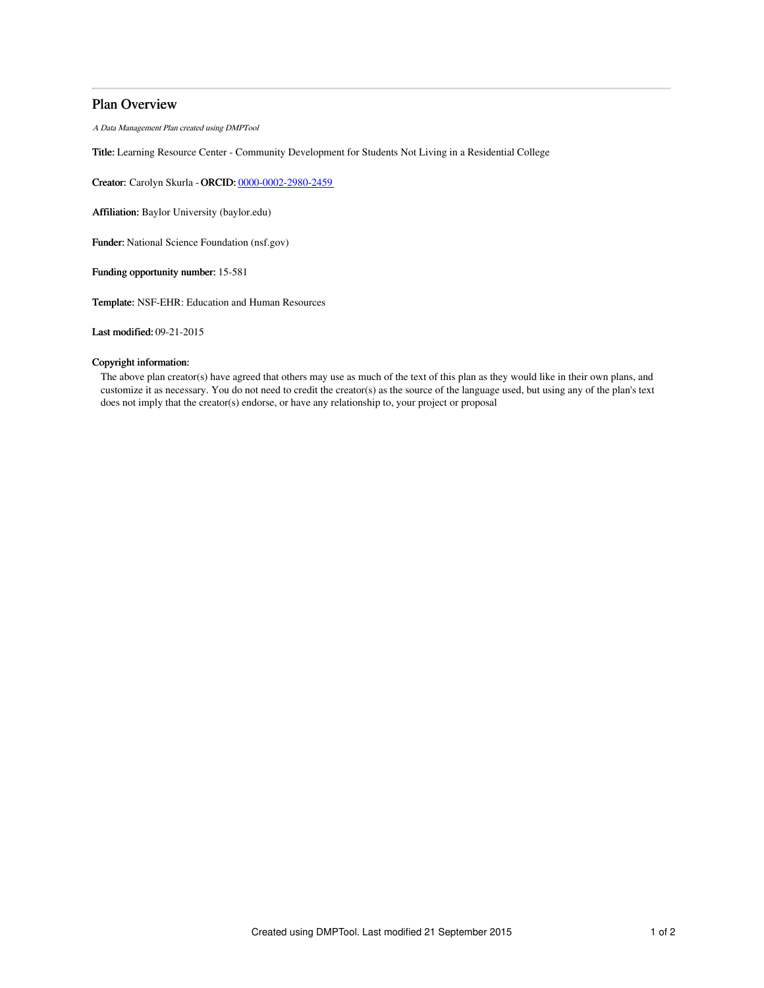## Plan Overview

A Data Management Plan created using DMPTool

Title: Learning Resource Center - Community Development for Students Not Living in a Residential College

Creator: Carolyn Skurla -ORCID: [0000-0002-2980-2459](https://orcid.org/0000-0002-2980-2459)

Affiliation: Baylor University (baylor.edu)

Funder: National Science Foundation (nsf.gov)

Funding opportunity number: 15-581

Template: NSF-EHR: Education and Human Resources

Last modified: 09-21-2015

### Copyright information:

The above plan creator(s) have agreed that others may use as much of the text of this plan as they would like in their own plans, and customize it as necessary. You do not need to credit the creator(s) as the source of the language used, but using any of the plan's text does not imply that the creator(s) endorse, or have any relationship to, your project or proposal